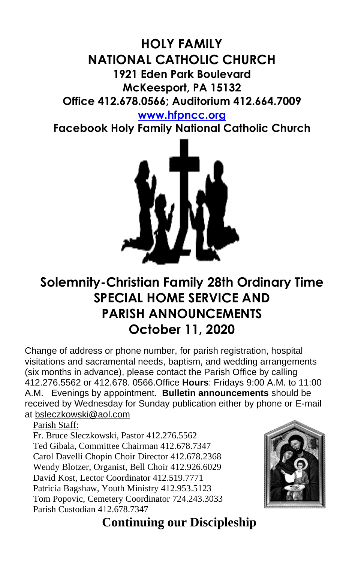## **HOLY FAMILY NATIONAL CATHOLIC CHURCH 1921 Eden Park Boulevard McKeesport, PA 15132 Office 412.678.0566; Auditorium 412.664.7009**

## **[www.hfpncc.org](http://www.hfpncc.org/)**

**Facebook Holy Family National Catholic Church**



# **Solemnity-Christian Family 28th Ordinary Time SPECIAL HOME SERVICE AND PARISH ANNOUNCEMENTS October 11, 2020**

Change of address or phone number, for parish registration, hospital visitations and sacramental needs, baptism, and wedding arrangements (six months in advance), please contact the Parish Office by calling 412.276.5562 or 412.678. 0566.Office **Hours**: Fridays 9:00 A.M. to 11:00 A.M. Evenings by appointment. **Bulletin announcements** should be received by Wednesday for Sunday publication either by phone or E-mail at [bsleczkowski@aol.com](mailto:bsleczkowski@aol.com)

Parish Staff:

Fr. Bruce Sleczkowski, Pastor 412.276.5562 Ted Gibala, Committee Chairman 412.678.7347 Carol Davelli Chopin Choir Director 412.678.2368 Wendy Blotzer, Organist, Bell Choir 412.926.6029 David Kost, Lector Coordinator 412.519.7771 Patricia Bagshaw, Youth Ministry 412.953.5123 Tom Popovic, Cemetery Coordinator 724.243.3033 Parish Custodian 412.678.7347



 **Continuing our Discipleship**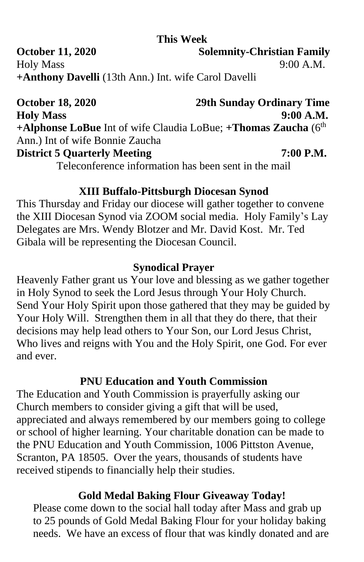#### **This Week**

**October 11, 2020** Solemnity-Christian Family Holy Mass 9:00 A.M. **+Anthony Davelli** (13th Ann.) Int. wife Carol Davelli

**October 18, 2020 29th Sunday Ordinary Time Holy Mass 9:00 A.M. +Alphonse LoBue** Int of wife Claudia LoBue; **+Thomas Zaucha** (6th Ann.) Int of wife Bonnie Zaucha **District 5 Quarterly Meeting 7:00 P.M.** Teleconference information has been sent in the mail

#### **XIII Buffalo-Pittsburgh Diocesan Synod**

This Thursday and Friday our diocese will gather together to convene the XIII Diocesan Synod via ZOOM social media. Holy Family's Lay Delegates are Mrs. Wendy Blotzer and Mr. David Kost. Mr. Ted Gibala will be representing the Diocesan Council.

#### **Synodical Prayer**

Heavenly Father grant us Your love and blessing as we gather together in Holy Synod to seek the Lord Jesus through Your Holy Church. Send Your Holy Spirit upon those gathered that they may be guided by Your Holy Will. Strengthen them in all that they do there, that their decisions may help lead others to Your Son, our Lord Jesus Christ, Who lives and reigns with You and the Holy Spirit, one God. For ever and ever.

#### **PNU Education and Youth Commission**

The Education and Youth Commission is prayerfully asking our Church members to consider giving a gift that will be used, appreciated and always remembered by our members going to college or school of higher learning. Your charitable donation can be made to the PNU Education and Youth Commission, 1006 Pittston Avenue, Scranton, PA 18505. Over the years, thousands of students have received stipends to financially help their studies.

## **Gold Medal Baking Flour Giveaway Today!**

Please come down to the social hall today after Mass and grab up to 25 pounds of Gold Medal Baking Flour for your holiday baking needs. We have an excess of flour that was kindly donated and are